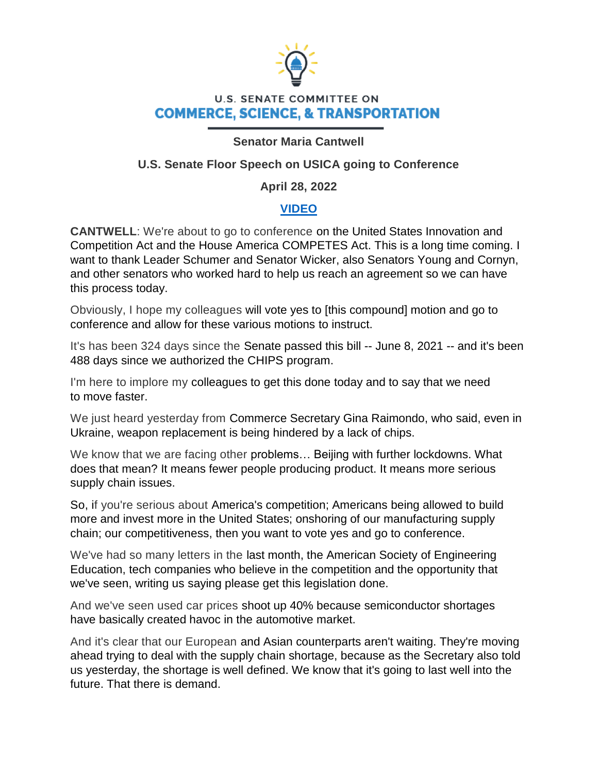

# **U.S. SENATE COMMITTEE ON COMMERCE, SCIENCE, & TRANSPORTATION**

### **Senator Maria Cantwell**

## **U.S. Senate Floor Speech on USICA going to Conference**

### **April 28, 2022**

### **[VIDEO](https://youtu.be/nnrwNza4sRI)**

**CANTWELL**: We're about to go to conference on the United States Innovation and Competition Act and the House America COMPETES Act. This is a long time coming. I want to thank Leader Schumer and Senator Wicker, also Senators Young and Cornyn, and other senators who worked hard to help us reach an agreement so we can have this process today.

Obviously, I hope my colleagues will vote yes to [this compound] motion and go to conference and allow for these various motions to instruct.

It's has been 324 days since the Senate passed this bill -- June 8, 2021 -- and it's been 488 days since we authorized the CHIPS program.

I'm here to implore my colleagues to get this done today and to say that we need to move faster.

We just heard yesterday from Commerce Secretary Gina Raimondo, who said, even in Ukraine, weapon replacement is being hindered by a lack of chips.

We know that we are facing other problems… Beijing with further lockdowns. What does that mean? It means fewer people producing product. It means more serious supply chain issues.

So, if you're serious about America's competition; Americans being allowed to build more and invest more in the United States; onshoring of our manufacturing supply chain; our competitiveness, then you want to vote yes and go to conference.

We've had so many letters in the last month, the American Society of Engineering Education, tech companies who believe in the competition and the opportunity that we've seen, writing us saying please get this legislation done.

And we've seen used car prices shoot up 40% because semiconductor shortages have basically created havoc in the automotive market.

And it's clear that our European and Asian counterparts aren't waiting. They're moving ahead trying to deal with the supply chain shortage, because as the Secretary also told us yesterday, the shortage is well defined. We know that it's going to last well into the future. That there is demand.